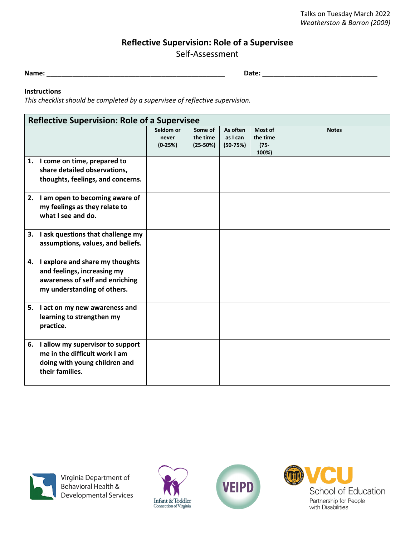## **Reflective Supervision: Role of a Supervisee**

Self-Assessment

**Name:** \_\_\_\_\_\_\_\_\_\_\_\_\_\_\_\_\_\_\_\_\_\_\_\_\_\_\_\_\_\_\_\_\_\_\_\_\_\_\_\_\_\_\_\_\_\_\_\_ **Date:** \_\_\_\_\_\_\_\_\_\_\_\_\_\_\_\_\_\_\_\_\_\_\_\_\_\_\_\_\_\_\_

## **Instructions**

*This checklist should be completed by a supervisee of reflective supervision.* 

| <b>Reflective Supervision: Role of a Supervisee</b> |                                                                                                                                     |                                 |                                   |                                    |                                         |              |
|-----------------------------------------------------|-------------------------------------------------------------------------------------------------------------------------------------|---------------------------------|-----------------------------------|------------------------------------|-----------------------------------------|--------------|
|                                                     |                                                                                                                                     | Seldom or<br>never<br>$(0-25%)$ | Some of<br>the time<br>$(25-50%)$ | As often<br>as I can<br>$(50-75%)$ | Most of<br>the time<br>$(75 -$<br>100%) | <b>Notes</b> |
|                                                     | 1. I come on time, prepared to<br>share detailed observations,<br>thoughts, feelings, and concerns.                                 |                                 |                                   |                                    |                                         |              |
|                                                     | 2. I am open to becoming aware of<br>my feelings as they relate to<br>what I see and do.                                            |                                 |                                   |                                    |                                         |              |
|                                                     | 3. I ask questions that challenge my<br>assumptions, values, and beliefs.                                                           |                                 |                                   |                                    |                                         |              |
|                                                     | 4. I explore and share my thoughts<br>and feelings, increasing my<br>awareness of self and enriching<br>my understanding of others. |                                 |                                   |                                    |                                         |              |
| 5.                                                  | I act on my new awareness and<br>learning to strengthen my<br>practice.                                                             |                                 |                                   |                                    |                                         |              |
|                                                     | 6. I allow my supervisor to support<br>me in the difficult work I am<br>doing with young children and<br>their families.            |                                 |                                   |                                    |                                         |              |



Virginia Department of<br>Behavioral Health & Developmental Services